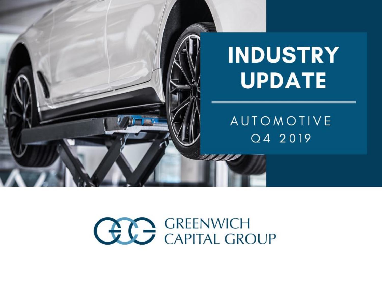

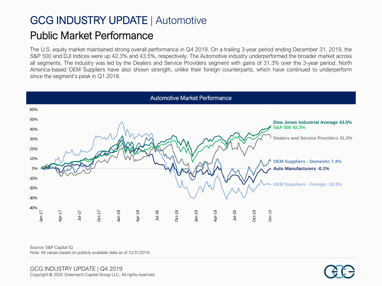## GCG INDUSTRY UPDATE | Automotive Public Market Performance

The U.S. equity market maintained strong overall performance in Q4 2019. On a trailing 3-year period ending December 31, 2019, the S&P 500 and DJI indices were up 42.3% and 43.5%, respectively. The Automotive industry underperformed the broader market across all segments. The industry was led by the Dealers and Service Providers segment with gains of 31.3% over the 3-year period. North America-based OEM Suppliers have also shown strength, unlike their foreign counterparts, which have continued to underperform since the segment's peak in Q1 2018.



Source: S&P Capital IQ

Note: All values based on publicly available data as of 12/31/2019

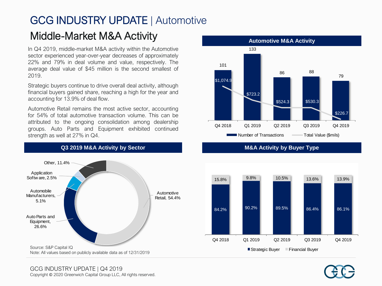#### GCG INDUSTRY UPDATE | Automotive Middle-Market M&A Activity

In Q4 2019, middle-market M&A activity within the Automotive sector experienced year-over-year decreases of approximately 22% and 79% in deal volume and value, respectively. The average deal value of \$45 million is the second smallest of 2019.

Strategic buyers continue to drive overall deal activity, although financial buyers gained share, reaching a high for the year and accounting for 13.9% of deal flow.

Automotive Retail remains the most active sector, accounting for 54% of total automotive transaction volume. This can be attributed to the ongoing consolidation among dealership groups. Auto Parts and Equipment exhibited continued strength as well at 27% in Q4.



**Q3 2019 M&A Activity by Sector M&A Activity by Buyer Type**





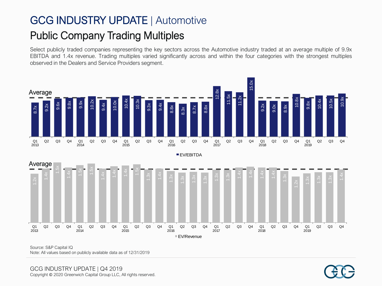## GCG INDUSTRY UPDATE | Automotive Public Company Trading Multiples

Select publicly traded companies representing the key sectors across the Automotive industry traded at an average multiple of 9.9x EBITDA and 1.4x revenue. Trading multiples varied significantly across and within the four categories with the strongest multiples observed in the Dealers and Service Providers segment.



Source: S&P Capital IQ Note: All values based on publicly available data as of 12/31/2019

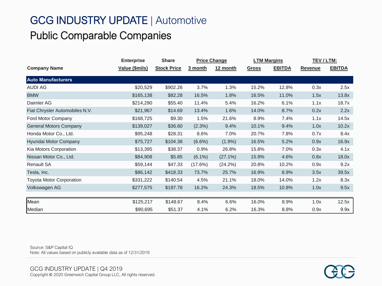# GCG INDUSTRY UPDATE | Automotive Public Comparable Companies

|                                 | <b>Enterprise</b> | <b>Share</b>       |           | <b>Price Change</b> | <b>LTM Margins</b> |               | TEV / LTM:     |               |
|---------------------------------|-------------------|--------------------|-----------|---------------------|--------------------|---------------|----------------|---------------|
| <b>Company Name</b>             | Value (\$mils)    | <b>Stock Price</b> | 3 month   | 12 month            | <b>Gross</b>       | <b>EBITDA</b> | <b>Revenue</b> | <b>EBITDA</b> |
| <b>Auto Manufacturers</b>       |                   |                    |           |                     |                    |               |                |               |
| AUDI AG                         | \$20,529          | \$902.26           | 3.7%      | 1.3%                | 15.2%              | 12.8%         | 0.3x           | 2.5x          |
| <b>BMW</b>                      | \$165,138         | \$82.28            | 16.5%     | 1.8%                | 16.5%              | 11.0%         | 1.5x           | 13.8x         |
| Daimler AG                      | \$214,290         | \$55.40            | 11.4%     | 5.4%                | 16.2%              | 6.1%          | 1.1x           | 18.7x         |
| Fiat Chrysler Automobiles N.V.  | \$21,967          | \$14.69            | 13.4%     | 1.6%                | 14.0%              | 8.7%          | 0.2x           | 2.2x          |
| Ford Motor Company              | \$168,725         | \$9.30             | 1.5%      | 21.6%               | 8.9%               | 7.4%          | 1.1x           | 14.5x         |
| <b>General Motors Company</b>   | \$139,027         | \$36.60            | (2.3%)    | 9.4%                | 10.1%              | 9.4%          | 1.0x           | 10.2x         |
| Honda Motor Co., Ltd.           | \$95,248          | \$28.31            | 8.6%      | 7.0%                | 20.7%              | 7.8%          | 0.7x           | 8.4x          |
| Hyundai Motor Company           | \$75,727          | \$104.38           | $(6.6\%)$ | $(1.9\%)$           | 16.5%              | 5.2%          | 0.9x           | 16.9x         |
| Kia Motors Corporation          | \$13,395          | \$38.37            | 0.9%      | 26.8%               | 15.8%              | 7.0%          | 0.3x           | 4.1x          |
| Nissan Motor Co., Ltd.          | \$84,908          | \$5.85             | $(6.1\%)$ | $(27.1\%)$          | 15.9%              | 4.6%          | 0.8x           | 18.0x         |
| <b>Renault SA</b>               | \$59,144          | \$47.33            | (17.6%)   | (24.2%)             | 20.8%              | 10.2%         | 0.9x           | 9.2x          |
| Tesla, Inc.                     | \$86,142          | \$418.33           | 73.7%     | 25.7%               | 16.9%              | 8.9%          | 3.5x           | 39.5x         |
| <b>Toyota Motor Corporation</b> | \$331,222         | \$140.54           | 4.5%      | 21.1%               | 18.0%              | 14.0%         | 1.2x           | 8.3x          |
| Volkswagen AG                   | \$277,575         | \$197.78           | 16.2%     | 24.3%               | 18.5%              | 10.8%         | 1.0x           | 9.5x          |
| Mean                            | \$125,217         | \$148.67           | 8.4%      | 6.6%                | 16.0%              | 8.9%          | 1.0x           | 12.5x         |
| Median                          | \$90,695          | \$51.37            | 4.1%      | 6.2%                | 16.3%              | 8.8%          | 0.9x           | 9.9x          |

Source: S&P Capital IQ Note: All values based on publicly available data as of 12/31/2019

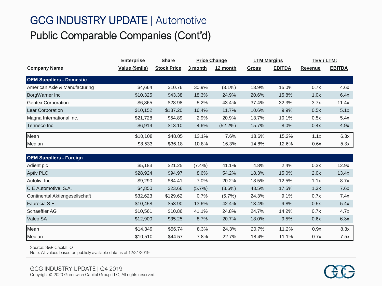# GCG INDUSTRY UPDATE | Automotive Public Comparable Companies (Cont'd)

|                                 | <b>Enterprise</b> | <b>Share</b>       |         | <b>Price Change</b> | <b>LTM Margins</b> |               | TEV / LTM:     |               |
|---------------------------------|-------------------|--------------------|---------|---------------------|--------------------|---------------|----------------|---------------|
| <b>Company Name</b>             | Value (\$mils)    | <b>Stock Price</b> | 3 month | 12 month            | <b>Gross</b>       | <b>EBITDA</b> | <b>Revenue</b> | <b>EBITDA</b> |
| <b>OEM Suppliers - Domestic</b> |                   |                    |         |                     |                    |               |                |               |
| American Axle & Manufacturing   | \$4,664           | \$10.76            | 30.9%   | $(3.1\%)$           | 13.9%              | 15.0%         | 0.7x           | 4.6x          |
| BorgWarner Inc.                 | \$10,325          | \$43.38            | 18.3%   | 24.9%               | 20.6%              | 15.8%         | 1.0x           | 6.4x          |
| <b>Gentex Corporation</b>       | \$6,865           | \$28.98            | 5.2%    | 43.4%               | 37.4%              | 32.3%         | 3.7x           | 11.4x         |
| Lear Corporation                | \$10,152          | \$137.20           | 16.4%   | 11.7%               | 10.6%              | 9.9%          | 0.5x           | 5.1x          |
| Magna International Inc.        | \$21,728          | \$54.89            | 2.9%    | 20.9%               | 13.7%              | 10.1%         | 0.5x           | 5.4x          |
| Tenneco Inc.                    | \$6,914           | \$13.10            | 4.6%    | (52.2%)             | 15.7%              | 8.0%          | 0.4x           | 4.9x          |
| Mean                            | \$10,108          | \$48.05            | 13.1%   | 7.6%                | 18.6%              | 15.2%         | 1.1x           | 6.3x          |
| Median                          | \$8,533           | \$36.18            | 10.8%   | 16.3%               | 14.8%              | 12.6%         | 0.6x           | 5.3x          |
|                                 |                   |                    |         |                     |                    |               |                |               |

| <b>OEM Suppliers - Foreign</b> |          |          |           |           |       |       |      |       |
|--------------------------------|----------|----------|-----------|-----------|-------|-------|------|-------|
| Adient plc                     | \$5,183  | \$21.25  | $(7.4\%)$ | 41.1%     | 4.8%  | 2.4%  | 0.3x | 12.9x |
| <b>Aptiv PLC</b>               | \$28,924 | \$94.97  | 8.6%      | 54.2%     | 18.3% | 15.0% | 2.0x | 13.4x |
| Autoliv, Inc.                  | \$9,290  | \$84.41  | 7.0%      | 20.2%     | 18.5% | 12.5% | 1.1x | 8.7x  |
| CIE Automotive, S.A.           | \$4,850  | \$23.66  | $(5.7\%)$ | $(3.6\%)$ | 43.5% | 17.5% | 1.3x | 7.6x  |
| Continental Aktiengesellschaft | \$32,623 | \$129.62 | 0.7%      | $(5.7\%)$ | 24.3% | 9.1%  | 0.7x | 7.4x  |
| Faurecia S.E.                  | \$10,458 | \$53.90  | 13.6%     | 42.4%     | 13.4% | 9.8%  | 0.5x | 5.4x  |
| Schaeffler AG                  | \$10.561 | \$10.86  | 41.1%     | 24.8%     | 24.7% | 14.2% | 0.7x | 4.7x  |
| Valeo SA                       | \$12,900 | \$35.25  | 8.7%      | 20.7%     | 18.0% | 9.5%  | 0.6x | 6.3x  |
| Mean                           | \$14,349 | \$56.74  | 8.3%      | 24.3%     | 20.7% | 11.2% | 0.9x | 8.3x  |
| Median                         | \$10,510 | \$44.57  | 7.8%      | 22.7%     | 18.4% | 11.1% | 0.7x | 7.5x  |

Source: S&P Capital IQ

Note: All values based on publicly available data as of 12/31/2019

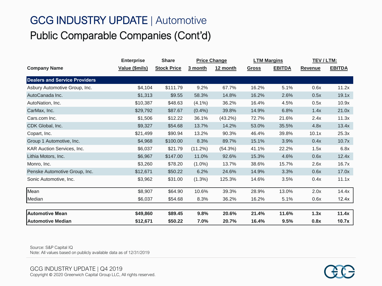# GCG INDUSTRY UPDATE | Automotive Public Comparable Companies (Cont'd)

|                                      | <b>Share</b><br><b>Enterprise</b> |                    | <b>Price Change</b> |          | <b>LTM Margins</b> |               | TEV / LTM:     |               |
|--------------------------------------|-----------------------------------|--------------------|---------------------|----------|--------------------|---------------|----------------|---------------|
| <b>Company Name</b>                  | Value (\$mils)                    | <b>Stock Price</b> | 3 month             | 12 month | <b>Gross</b>       | <b>EBITDA</b> | <b>Revenue</b> | <b>EBITDA</b> |
| <b>Dealers and Service Providers</b> |                                   |                    |                     |          |                    |               |                |               |
| Asbury Automotive Group, Inc.        | \$4,104                           | \$111.79           | 9.2%                | 67.7%    | 16.2%              | 5.1%          | 0.6x           | 11.2x         |
| AutoCanada Inc.                      | \$1,313                           | \$9.55             | 58.3%               | 14.8%    | 16.2%              | 2.6%          | 0.5x           | 19.1x         |
| AutoNation, Inc.                     | \$10,387                          | \$48.63            | $(4.1\%)$           | 36.2%    | 16.4%              | 4.5%          | 0.5x           | 10.9x         |
| CarMax, Inc.                         | \$29,792                          | \$87.67            | $(0.4\%)$           | 39.8%    | 14.9%              | 6.8%          | 1.4x           | 21.0x         |
| Cars.com Inc.                        | \$1,506                           | \$12.22            | 36.1%               | (43.2%)  | 72.7%              | 21.6%         | 2.4x           | 11.3x         |
| CDK Global, Inc.                     | \$9,327                           | \$54.68            | 13.7%               | 14.2%    | 53.0%              | 35.5%         | 4.8x           | 13.4x         |
| Copart, Inc.                         | \$21,499                          | \$90.94            | 13.2%               | 90.3%    | 46.4%              | 39.8%         | 10.1x          | 25.3x         |
| Group 1 Automotive, Inc.             | \$4,968                           | \$100.00           | 8.3%                | 89.7%    | 15.1%              | 3.9%          | 0.4x           | 10.7x         |
| <b>KAR Auction Services, Inc.</b>    | \$6,037                           | \$21.79            | (11.2%)             | (54.3%)  | 41.1%              | 22.2%         | 1.5x           | 6.8x          |
| Lithia Motors, Inc.                  | \$6,967                           | \$147.00           | 11.0%               | 92.6%    | 15.3%              | 4.6%          | 0.6x           | 12.4x         |
| Monro, Inc.                          | \$3,260                           | \$78.20            | $(1.0\%)$           | 13.7%    | 38.6%              | 15.7%         | 2.6x           | 16.7x         |
| Penske Automotive Group, Inc.        | \$12,671                          | \$50.22            | 6.2%                | 24.6%    | 14.9%              | 3.3%          | 0.6x           | 17.0x         |
| Sonic Automotive, Inc.               | \$3,962                           | \$31.00            | $(1.3\%)$           | 125.3%   | 14.6%              | 3.5%          | 0.4x           | 11.1x         |
| Mean                                 | \$8,907                           | \$64.90            | 10.6%               | 39.3%    | 28.9%              | 13.0%         | 2.0x           | 14.4x         |
| Median                               | \$6,037                           | \$54.68            | 8.3%                | 36.2%    | 16.2%              | 5.1%          | 0.6x           | 12.4x         |
| <b>Automotive Mean</b>               | \$49,860                          | \$89.45            | 9.8%                | 20.6%    | 21.4%              | 11.6%         | 1.3x           | 11.4x         |
| <b>Automotive Median</b>             | \$12,671                          | \$50.22            | 7.0%                | 20.7%    | 16.4%              | 9.5%          | 0.8x           | 10.7x         |

Source: S&P Capital IQ Note: All values based on publicly available data as of 12/31/2019